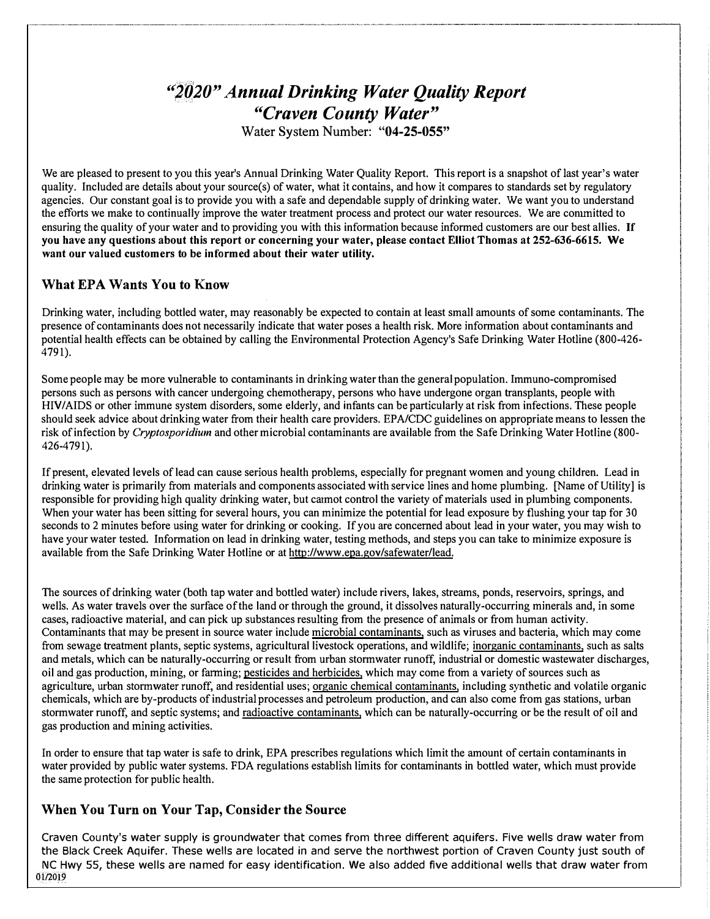# *"2020" Annual Drinking Water Quality Report "Craven County Water"*

Water System Number: **"04-25-055"** 

We are pleased to present to you this year's Annual Drinking Water Quality Report. This report is a snapshot of last year's water quality. Included are details about your source(s) of water, what it contains, and how it compares to standards set by regulatory agencies. Our constant goal is to provide you with a safe and dependable supply of drinking water. We want you to understand the efforts we make to continually improve the water treatment process and protect our water resources. We are connnitted to ensuring the quality of your water and to providing you with this information because informed customers are our best allies. If **you have any questions about this report or concerning your water, please contact Elliot Thomas at 252-636-6615. We want our valued customers to be informed about their water utility.** 

### **What EPA Wants You to Know**

Drinking water, including bottled water, may reasonably be expected to contain at least small amounts of some contaminants. The presence of contaminants does not necessarily indicate that water poses a health risk. More information about contaminants and potential health effects can be obtained by calling the Environmental Protection Agency's Safe Drinking Water Hotline (800-426- 4791).

Some people may be more vulnerable to contaminants in drinking water than the general population. Immuno-compromised persons such as persons with cancer undergoing chemotherapy, persons who have undergone organ transplants, people with HIV/AIDS or other immune system disorders, some elderly, and infants can be particularly at risk from infections. These people should seek advice about drinking water from their health care providers. EPA/CDC guidelines on appropriate means to lessen the risk of infection by *Cryptosporidium* and other microbial contaminants are available from the Safe Drinking Water Hotline (800- 426-4791).

If present, elevated levels of lead can cause serious health problems, especially for pregnant women and young children. Lead in drinking water is primarily from materials and components associated with service lines and home plumbing. [Name of Utility] is responsible for providing high quality drinking water, but carmot control the variety of materials used in plumbing components. When your water has been sitting for several hours, you can minimize the potential for lead exposure by flushing your tap for 30 seconds to 2 minutes before using water for drinking or cooking. If you are concerned about lead in your water, you may wish to have your water tested. Information on lead in drinking water, testing methods, and steps you can take to minimize exposure is available from the Safe Drinking Water Hotline or at http://www.epa.gov/safewater/lead.

The sources of drinking water (both tap water and bottled water) include rivers, lakes, streams, ponds, reservoirs, springs, and wells. As water travels over the surface of the land or through the ground, it dissolves naturally-occurring minerals and, in some cases, radioactive material, and can pick up substances resulting from the presence of animals or from human activity. Contaminants that may be present in source water include microbial contaminants, such as viruses and bacteria, which may come from sewage treatment plants, septic systems, agricultural livestock operations, and wildlife; inorganic contaminants, such as salts and metals, which can be naturally-occurring or result from urban stormwater runoff, industrial or domestic wastewater discharges, oil and gas production, mining, or farming; pesticides and herbicides, which may come from a variety of sources such as **agriculture, urban stormwater runoff, and residential uses; organic chemical contaminants, including synthetic and volatile organic**  chemicals, which are by-products of industrial processes and petroleum production, and can also come from gas stations, urban stormwater runoff, and septic systems; and radioactive contaminants, which can be naturally-occurring or be the result of oil and gas production and mining activities.

In order to ensure that tap water is safe to drink, EPA prescribes regulations which limit the amount of certain contaminants in water provided by public water systems. FDA regulations establish limits for contaminants in bottled water, which must provide the same protection for public health.

### **When You Turn on Your Tap, Consider the Source**

Craven County's water supply is groundwater that comes from three different aquifers. Five wells draw water from the Black Creek Aquifer. These wells are located in and serve the northwest portion of Craven County just south of NC Hwy 55, these wells are named for easy identification. We also added five additional wells that draw water from 01/2019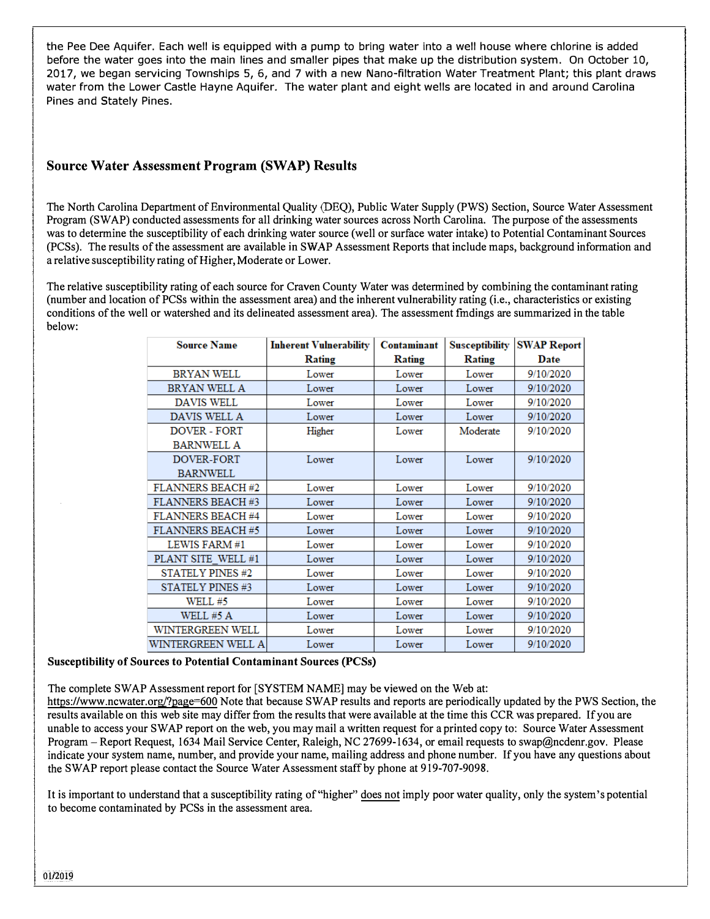the Pee Dee Aquifer. Each well is equipped with a pump to bring water into a well house where chlorine is added before the water goes into the main lines and smaller pipes that make up the distribution system. On October 10, 2017, we began servicing Townships 5, 6, and 7 with a new Nano-filtration Water Treatment Plant; this plant draws water from the Lower Castle Hayne Aquifer. The water plant and eight wells are located in and around Carolina Pines and Stately Pines.

# **Source Water Assessment Program (SWAP) Results**

**The North Carolina Department of Environmental Quality (DEQ), Public Water Supply (PWS) Section, Source Water Assessment Program (SWAP) conducted assessments for all drinking water sources across North Carolina. The purpose of the assessments was to determine the susceptibility of each drinking water source (well or surface water intake) to Potential Contaminant Sources (PCSs). The results of the assessment are available in SW AP Assessment Reports that include maps, background information and a relative susceptibility rating of Higher, Moderate or Lower.** 

**The relative susceptibility rating of each source for Craven County Water was determined by combining the contaminant rating (number and location of PCSs within the assessment area) and the inherent vulnerability rating (i.e., characteristics or existing conditions of the well or watershed and its delineated assessment area). The assessment fmdings are summarized in the table below:** 

| <b>Source Name</b>       | <b>Inherent Vulnerability</b> | Contaminant | <b>Susceptibility</b> | <b>SWAP Report</b> |  |
|--------------------------|-------------------------------|-------------|-----------------------|--------------------|--|
|                          | Rating                        | Rating      | Rating                | Date               |  |
| <b>BRYAN WELL</b>        | Lower                         | Lower       | Lower                 | 9/10/2020          |  |
| <b>BRYAN WELL A</b>      | Lower                         | Lower       | Lower                 | 9/10/2020          |  |
| <b>DAVIS WELL</b>        | Lower                         | Lower       | Lower                 | 9/10/2020          |  |
| <b>DAVIS WELL A</b>      | Lower                         | Lower       | Lower                 | 9/10/2020          |  |
| <b>DOVER - FORT</b>      | Higher                        | Lower       | Moderate              | 9/10/2020          |  |
| <b>BARNWELL A</b>        |                               |             |                       |                    |  |
| DOVER-FORT               | Lower                         | Lower       | Lower                 | 9/10/2020          |  |
| <b>BARNWELL</b>          |                               |             |                       |                    |  |
| <b>FLANNERS BEACH #2</b> | Lower                         | Lower       | Lower                 | 9/10/2020          |  |
| <b>FLANNERS BEACH #3</b> | Lower                         | Lower       | Lower                 | 9/10/2020          |  |
| <b>FLANNERS BEACH #4</b> | Lower                         | Lower       | Lower                 | 9/10/2020          |  |
| <b>FLANNERS BEACH #5</b> | Lower                         | Lower       | Lower                 | 9/10/2020          |  |
| LEWIS FARM #1            | Lower                         | Lower       | Lower                 | 9/10/2020          |  |
| PLANT SITE WELL #1       | Lower                         | Lower       | Lower                 | 9/10/2020          |  |
| <b>STATELY PINES #2</b>  | Lower                         | Lower       | Lower                 | 9/10/2020          |  |
| <b>STATELY PINES #3</b>  | Lower                         | Lower       | Lower                 | 9/10/2020          |  |
| WELL #5                  | Lower                         | Lower       | Lower                 | 9/10/2020          |  |
| WELL #5 A                | Lower                         | Lower       | Lower                 | 9/10/2020          |  |
| WINTERGREEN WELL         | Lower                         | Lower       | Lower                 | 9/10/2020          |  |
| WINTERGREEN WELL A       | Lower                         | Lower       | Lower                 | 9/10/2020          |  |

### **Susceptibility of Sources to Potential Contaminant Sources (PCSs)**

**The complete SW AP Assessment report for [SYSTEM NAME] may be viewed on the Web at:** 

https://www.ncwater.org/?page=600 Note that because SWAP results and reports are periodically updated by the PWS Section, the **results available on this web site may differ from the results that were available at the time this CCR was prepared. If you are unable to access your SW AP report on the web, you may mail a written request for a printed copy to: Source Water Assessment Program-Report Request, 1634 Mail Service Center, Raleigh, NC 27699-1634, or email requests to swap@ncdenr.gov. Please**  indicate your system name, number, and provide your name, mailing address and phone number. If you have any questions about **the SWAP report please contact the Source Water Assessment staff by phone at 919-707-9098.** 

**It is important to understand that a susceptibility rating of"higher" does not imply poor water quality, only the system's potential to become contaminated by PCSs in the assessment area.**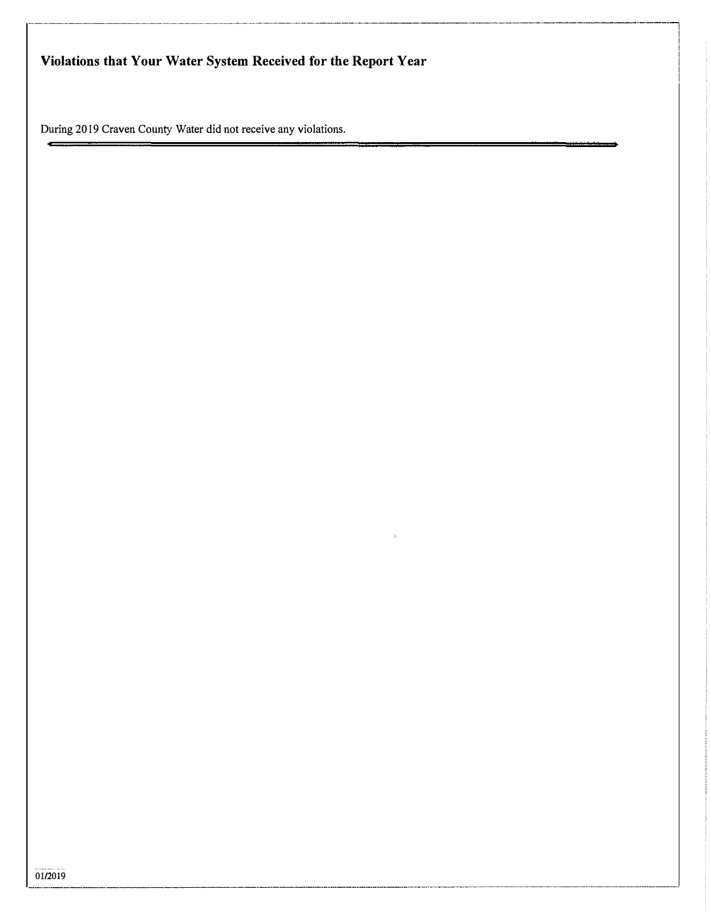**During 2019 Craven County Water did not receive any violations.**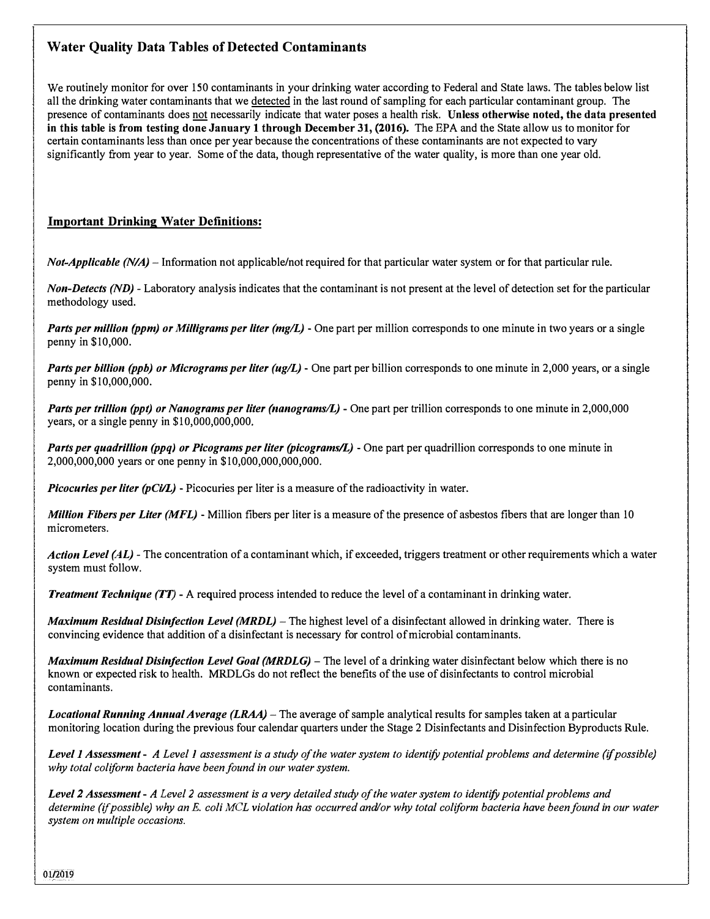## **Water Quality Data Tables of Detected Contaminants**

**We routinely monitor for over 150 contaminants in your drinking water according to Federal and State laws. The tables below list all the drinking water contaminants that we detected in the last round of sampling for each particular contaminant group. The presence of contaminants does not necessarily indicate that water poses a health risk.** *Unless otherwise noted, the data presented in this table is from testing done January 1 through December 31, (2016).* **The EPA and the State allow us to monitor for certain contaminants less than once per year because the concentrations of these contaminants are not expected to vary significantly from year to year. Some of the data, though representative of the water quality, is more than one year old.** 

### **Important Drinking Water Definitions:**

*Not-Applicable (NIA)* **-Information not applicable/not required for that particular water system or for that particular rule.** 

*Non-Detects (ND)* - Laboratory analysis indicates that the contaminant is not present at the level of detection set for the particular **methodology used.** 

*Parts per million (ppm) or Milligrams per liter (mg/L)*  $\cdot$  One part per million corresponds to one minute in two years or a single **penny in \$10,000.** 

*Parts per billion (ppb) or Micrograms per liter (ug/L)* - One part per billion corresponds to one minute in 2,000 years, or a single **penny in \$10,000,000.** 

*Parts per trillion (ppt) or Nanograms per liter (nanograms/L)* - One part per trillion corresponds to one minute in 2,000,000 **years, or a single penny in \$1 o,ooo,000,000.** 

*Parts per quadrillion (ppq) or Picograms per liter (picograms/L)* - One part per quadrillion corresponds to one minute in **2,000,000,000 years or one penny in \$10,000,000,000,000.** 

*Picocuries per liter (pCi/L)* **- Picocuries per liter is a measure of the radioactivity in water.** 

*Million Fibers per Liter (MFL)* **-** Million fibers per liter is a measure of the presence of asbestos fibers that are longer than 10 **micrometers.** 

*Action Level (AL)* - The concentration of a contaminant which, if exceeded, triggers treatment or other requirements which a water **system must follow.** 

*Treatment Technique (TT) - A required process intended to reduce the level of a contaminant in drinking water.* 

*Maximum Residual Disinfection Level (MRDL)* – The highest level of a disinfectant allowed in drinking water. There is **convincing evidence that addition of a disinfectant is necessary for control of microbial contaminants.** 

*Maximum Residual Disinfection Level Goal (MRDLG)* – The level of a drinking water disinfectant below which there is no **known or expected risk to health. MRDLGs do not reflect the benefits of the use of disinfectants to control microbial contaminants.** 

*Locational Running Annual Average (LRAA)* – The average of sample analytical results for samples taken at a particular **monitoring location during the previous four calendar quarters under the Stage 2 Disinfectants and Disinfection Byproducts Rule.** 

**Level 1 Assessment -** A Level 1 assessment is a study of the water system to identify potential problems and determine (if possible) *why total coliform bacteria have been found in our water system.* 

**Level 2 Assessment - A** Level 2 assessment is a very detailed study of the water system to identify potential problems and *determine (if possible) why an E. coli MCL violation has occurred and/or why total coliform bacteria have been found in our water system on multiple occasions.*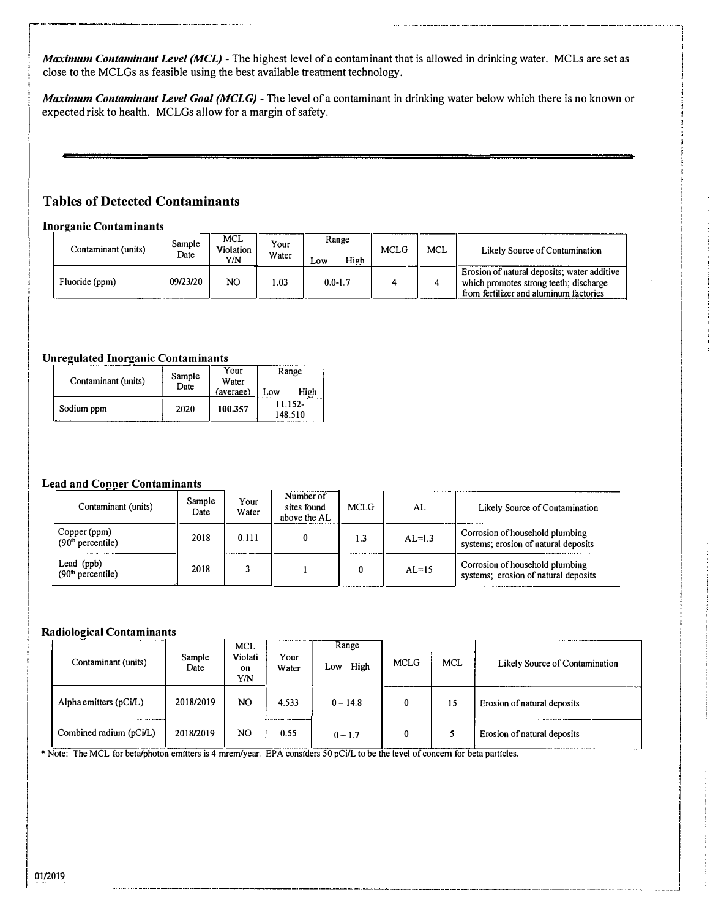*Maximum Contaminant Level (MCL)* - The highest level of a contaminant that is allowed in drinking water. MCLs are set as **close to the MCLGs as feasible using the best available treatment technology.** 

*Maximum Contaminant Level Goal (MCLG)* - The level of a contaminant in drinking water below which there is no known or **expected risk to health. MCLGs allow for a margin of safety.** 

# **Tables of Detected Contaminants**

### **In or2:anic Contaminants**

| Contaminant (units) | Sample<br>Date | MCL<br>Violation<br>Y/N | Your<br>Water | Range<br>High<br>Low | MCLG | <b>MCL</b> | Likely Source of Contamination                                                                                                  |
|---------------------|----------------|-------------------------|---------------|----------------------|------|------------|---------------------------------------------------------------------------------------------------------------------------------|
| Fluoride (ppm)      | 09/23/20       | NO                      | 1.03          | $0.0 - 1.7$          |      |            | Erosion of natural deposits; water additive<br>which promotes strong teeth; discharge<br>from fertilizer and aluminum factories |

### **Unregulated Inorganic Contaminants**

| Contaminant (units) | Sample<br>Date | Your<br>Water<br>(average) | Range<br>High<br>.0W  |  |
|---------------------|----------------|----------------------------|-----------------------|--|
| Sodium ppm          | 2020           | 100.357                    | $11.152 -$<br>148.510 |  |

### **Lead and Copper Contaminants**

| Contaminant (units)                           | Sample<br>Date | Number of<br>Your<br>sites found<br>Water<br>above the AL |  | MCLG | AL       | Likely Source of Contamination                                          |  |
|-----------------------------------------------|----------------|-----------------------------------------------------------|--|------|----------|-------------------------------------------------------------------------|--|
| Copper (ppm)<br>(90 <sup>th</sup> percentile) | 2018           | 0.111                                                     |  | 1.3  | $AL=1.3$ | Corrosion of household plumbing<br>systems; erosion of natural deposits |  |
| Lead (ppb)<br>(90 <sup>th</sup> percentile)   | 2018           |                                                           |  |      | $AL=15$  | Corrosion of household plumbing<br>systems; erosion of natural deposits |  |

#### **Radiological Contaminants**

| __________________________<br>Contaminant (units) | Sample<br>Date | <b>MCL</b><br>Violati<br>0n<br>Y/N | Your<br>Water | Range<br>High<br>Low | MCLG | <b>MCL</b> | Likely Source of Contamination |
|---------------------------------------------------|----------------|------------------------------------|---------------|----------------------|------|------------|--------------------------------|
| Alpha emitters $(pCi/L)$                          | 2018/2019      | NO                                 | 4.533         | $0 - 14.8$           | 15   |            | Erosion of natural deposits    |
| Combined radium $(pCi/L)$                         | 2018/2019      | NO                                 | 0.55          | $0 - 1.7$            |      |            | Erosion of natural deposits    |

**\* Note: The MCL for beta/photon emitters is 4 mrem/year. EPA considers 50 pCi/L to be the level of concern for beta particles.**